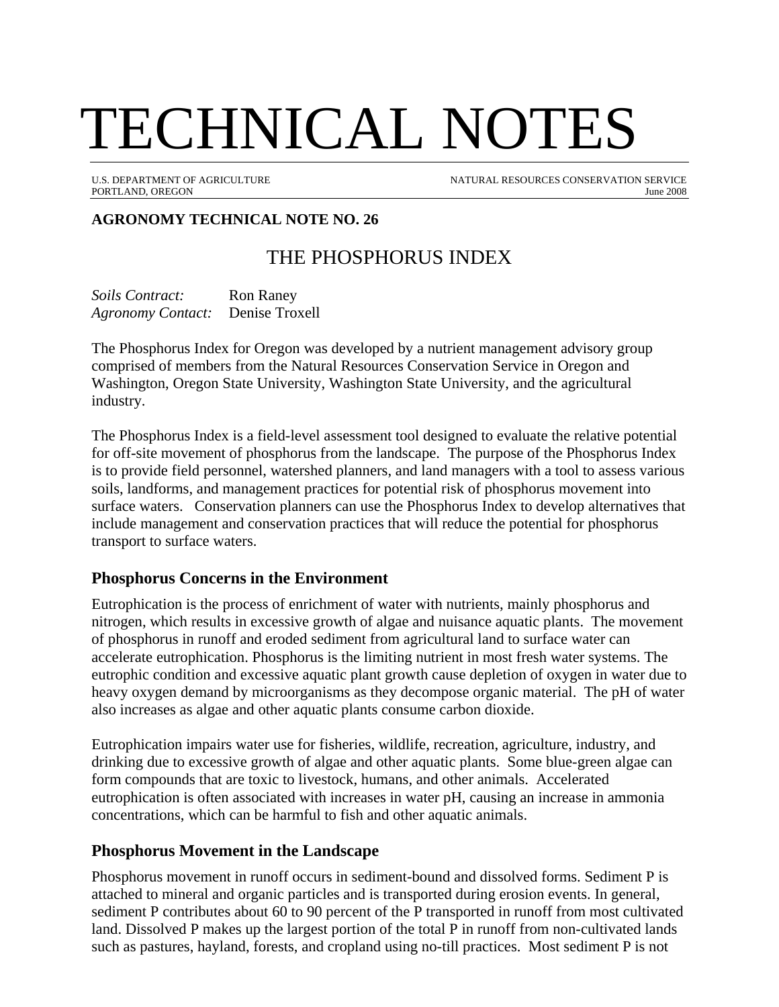# TECHNICAL NOTES

U.S. DEPARTMENT OF AGRICULTURE NATURAL RESOURCES CONSERVATION SERVICE PORTLAND, OREGON June 2008

# **AGRONOMY TECHNICAL NOTE NO. 26**

# THE PHOSPHORUS INDEX

*Soils Contract:* Ron Raney *Agronomy Contact:* Denise Troxell

The Phosphorus Index for Oregon was developed by a nutrient management advisory group comprised of members from the Natural Resources Conservation Service in Oregon and Washington, Oregon State University, Washington State University, and the agricultural industry.

The Phosphorus Index is a field-level assessment tool designed to evaluate the relative potential for off-site movement of phosphorus from the landscape. The purpose of the Phosphorus Index is to provide field personnel, watershed planners, and land managers with a tool to assess various soils, landforms, and management practices for potential risk of phosphorus movement into surface waters. Conservation planners can use the Phosphorus Index to develop alternatives that include management and conservation practices that will reduce the potential for phosphorus transport to surface waters.

#### **Phosphorus Concerns in the Environment**

Eutrophication is the process of enrichment of water with nutrients, mainly phosphorus and nitrogen, which results in excessive growth of algae and nuisance aquatic plants. The movement of phosphorus in runoff and eroded sediment from agricultural land to surface water can accelerate eutrophication. Phosphorus is the limiting nutrient in most fresh water systems. The eutrophic condition and excessive aquatic plant growth cause depletion of oxygen in water due to heavy oxygen demand by microorganisms as they decompose organic material. The pH of water also increases as algae and other aquatic plants consume carbon dioxide.

Eutrophication impairs water use for fisheries, wildlife, recreation, agriculture, industry, and drinking due to excessive growth of algae and other aquatic plants. Some blue-green algae can form compounds that are toxic to livestock, humans, and other animals. Accelerated eutrophication is often associated with increases in water pH, causing an increase in ammonia concentrations, which can be harmful to fish and other aquatic animals.

#### **Phosphorus Movement in the Landscape**

Phosphorus movement in runoff occurs in sediment-bound and dissolved forms. Sediment P is attached to mineral and organic particles and is transported during erosion events. In general, sediment P contributes about 60 to 90 percent of the P transported in runoff from most cultivated land. Dissolved P makes up the largest portion of the total P in runoff from non-cultivated lands such as pastures, hayland, forests, and cropland using no-till practices. Most sediment P is not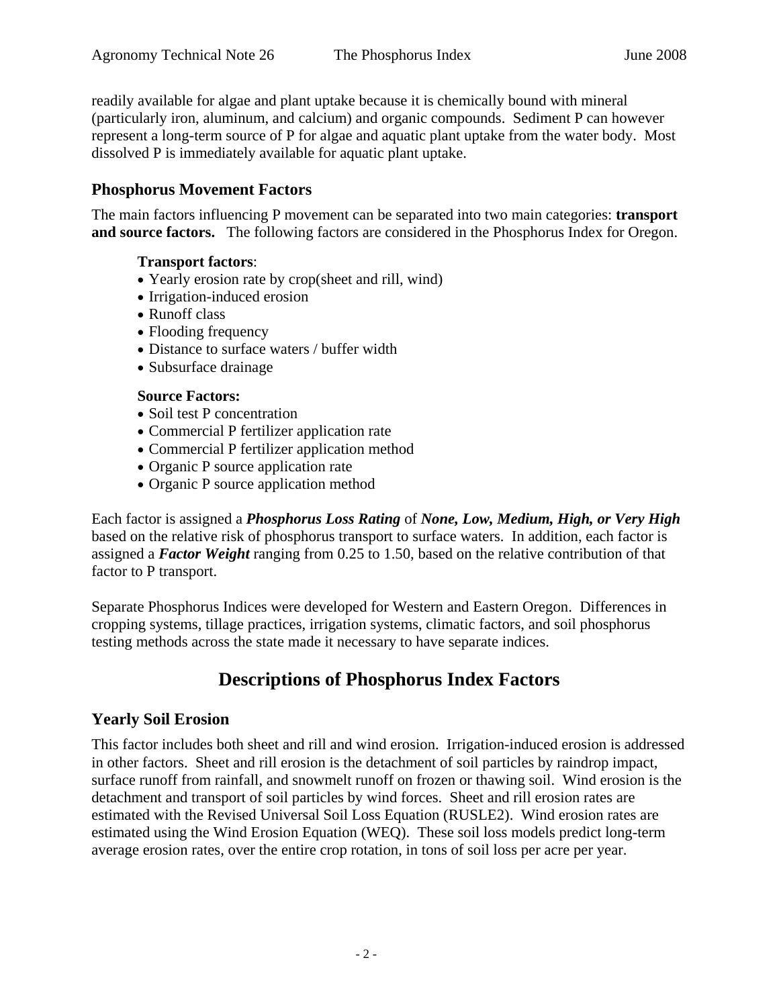readily available for algae and plant uptake because it is chemically bound with mineral (particularly iron, aluminum, and calcium) and organic compounds. Sediment P can however represent a long-term source of P for algae and aquatic plant uptake from the water body. Most dissolved P is immediately available for aquatic plant uptake.

#### **Phosphorus Movement Factors**

The main factors influencing P movement can be separated into two main categories: **transport and source factors.** The following factors are considered in the Phosphorus Index for Oregon.

#### **Transport factors**:

- Yearly erosion rate by crop(sheet and rill, wind)
- Irrigation-induced erosion
- Runoff class
- Flooding frequency
- Distance to surface waters / buffer width
- Subsurface drainage

#### **Source Factors:**

- Soil test P concentration
- Commercial P fertilizer application rate
- Commercial P fertilizer application method
- Organic P source application rate
- Organic P source application method

Each factor is assigned a *Phosphorus Loss Rating* of *None, Low, Medium, High, or Very High* based on the relative risk of phosphorus transport to surface waters. In addition, each factor is assigned a *Factor Weight* ranging from 0.25 to 1.50, based on the relative contribution of that factor to P transport.

Separate Phosphorus Indices were developed for Western and Eastern Oregon. Differences in cropping systems, tillage practices, irrigation systems, climatic factors, and soil phosphorus testing methods across the state made it necessary to have separate indices.

# **Descriptions of Phosphorus Index Factors**

#### **Yearly Soil Erosion**

This factor includes both sheet and rill and wind erosion. Irrigation-induced erosion is addressed in other factors. Sheet and rill erosion is the detachment of soil particles by raindrop impact, surface runoff from rainfall, and snowmelt runoff on frozen or thawing soil. Wind erosion is the detachment and transport of soil particles by wind forces. Sheet and rill erosion rates are estimated with the Revised Universal Soil Loss Equation (RUSLE2). Wind erosion rates are estimated using the Wind Erosion Equation (WEQ). These soil loss models predict long-term average erosion rates, over the entire crop rotation, in tons of soil loss per acre per year.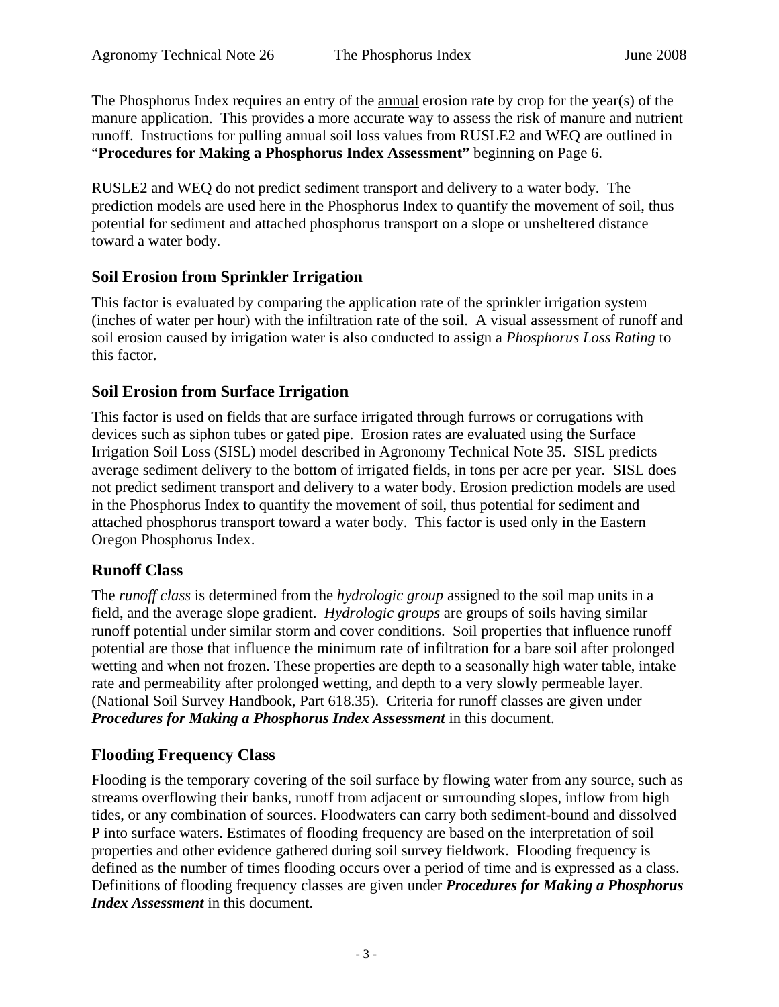The Phosphorus Index requires an entry of the annual erosion rate by crop for the year(s) of the manure application. This provides a more accurate way to assess the risk of manure and nutrient runoff. Instructions for pulling annual soil loss values from RUSLE2 and WEQ are outlined in "**Procedures for Making a Phosphorus Index Assessment"** beginning on Page 6.

RUSLE2 and WEQ do not predict sediment transport and delivery to a water body. The prediction models are used here in the Phosphorus Index to quantify the movement of soil, thus potential for sediment and attached phosphorus transport on a slope or unsheltered distance toward a water body.

## **Soil Erosion from Sprinkler Irrigation**

This factor is evaluated by comparing the application rate of the sprinkler irrigation system (inches of water per hour) with the infiltration rate of the soil. A visual assessment of runoff and soil erosion caused by irrigation water is also conducted to assign a *Phosphorus Loss Rating* to this factor.

#### **Soil Erosion from Surface Irrigation**

This factor is used on fields that are surface irrigated through furrows or corrugations with devices such as siphon tubes or gated pipe. Erosion rates are evaluated using the Surface Irrigation Soil Loss (SISL) model described in Agronomy Technical Note 35. SISL predicts average sediment delivery to the bottom of irrigated fields, in tons per acre per year. SISL does not predict sediment transport and delivery to a water body. Erosion prediction models are used in the Phosphorus Index to quantify the movement of soil, thus potential for sediment and attached phosphorus transport toward a water body. This factor is used only in the Eastern Oregon Phosphorus Index.

#### **Runoff Class**

The *runoff class* is determined from the *hydrologic group* assigned to the soil map units in a field, and the average slope gradient. *Hydrologic groups* are groups of soils having similar runoff potential under similar storm and cover conditions. Soil properties that influence runoff potential are those that influence the minimum rate of infiltration for a bare soil after prolonged wetting and when not frozen. These properties are depth to a seasonally high water table, intake rate and permeability after prolonged wetting, and depth to a very slowly permeable layer. (National Soil Survey Handbook, Part 618.35). Criteria for runoff classes are given under *Procedures for Making a Phosphorus Index Assessment* in this document.

# **Flooding Frequency Class**

Flooding is the temporary covering of the soil surface by flowing water from any source, such as streams overflowing their banks, runoff from adjacent or surrounding slopes, inflow from high tides, or any combination of sources. Floodwaters can carry both sediment-bound and dissolved P into surface waters. Estimates of flooding frequency are based on the interpretation of soil properties and other evidence gathered during soil survey fieldwork. Flooding frequency is defined as the number of times flooding occurs over a period of time and is expressed as a class. Definitions of flooding frequency classes are given under *Procedures for Making a Phosphorus Index Assessment* in this document.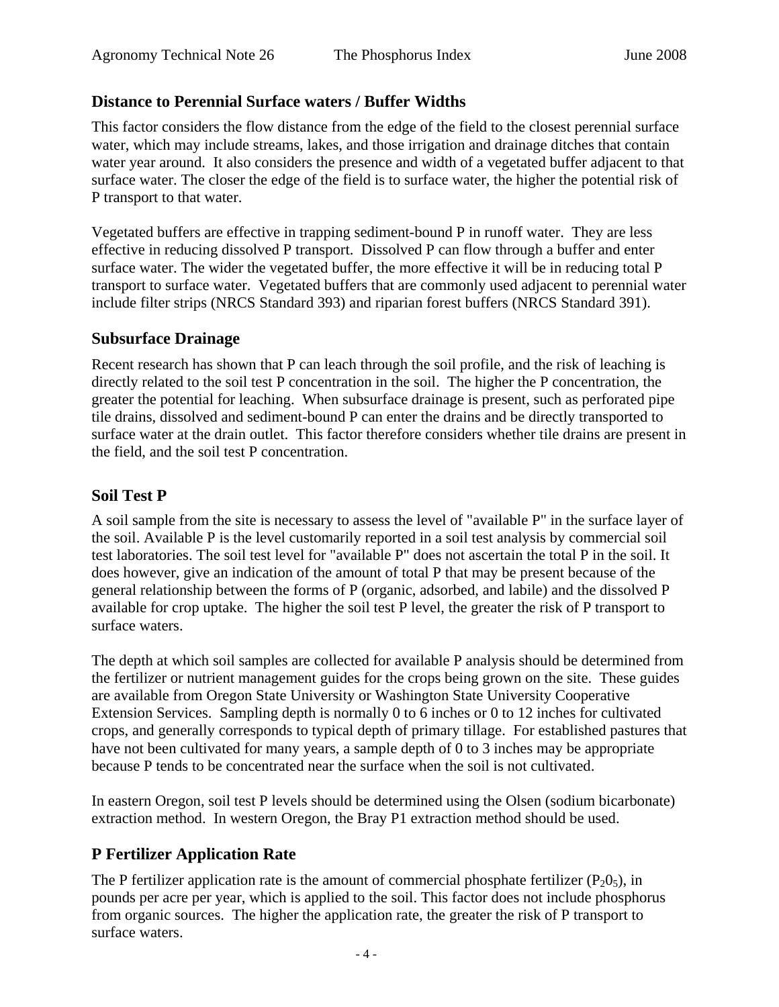#### **Distance to Perennial Surface waters / Buffer Widths**

This factor considers the flow distance from the edge of the field to the closest perennial surface water, which may include streams, lakes, and those irrigation and drainage ditches that contain water year around. It also considers the presence and width of a vegetated buffer adjacent to that surface water. The closer the edge of the field is to surface water, the higher the potential risk of P transport to that water.

Vegetated buffers are effective in trapping sediment-bound P in runoff water. They are less effective in reducing dissolved P transport. Dissolved P can flow through a buffer and enter surface water. The wider the vegetated buffer, the more effective it will be in reducing total P transport to surface water. Vegetated buffers that are commonly used adjacent to perennial water include filter strips (NRCS Standard 393) and riparian forest buffers (NRCS Standard 391).

#### **Subsurface Drainage**

Recent research has shown that P can leach through the soil profile, and the risk of leaching is directly related to the soil test P concentration in the soil. The higher the P concentration, the greater the potential for leaching. When subsurface drainage is present, such as perforated pipe tile drains, dissolved and sediment-bound P can enter the drains and be directly transported to surface water at the drain outlet. This factor therefore considers whether tile drains are present in the field, and the soil test P concentration.

#### **Soil Test P**

A soil sample from the site is necessary to assess the level of "available P" in the surface layer of the soil. Available P is the level customarily reported in a soil test analysis by commercial soil test laboratories. The soil test level for "available P" does not ascertain the total P in the soil. It does however, give an indication of the amount of total P that may be present because of the general relationship between the forms of P (organic, adsorbed, and labile) and the dissolved P available for crop uptake. The higher the soil test P level, the greater the risk of P transport to surface waters.

The depth at which soil samples are collected for available P analysis should be determined from the fertilizer or nutrient management guides for the crops being grown on the site. These guides are available from Oregon State University or Washington State University Cooperative Extension Services. Sampling depth is normally 0 to 6 inches or 0 to 12 inches for cultivated crops, and generally corresponds to typical depth of primary tillage. For established pastures that have not been cultivated for many years, a sample depth of 0 to 3 inches may be appropriate because P tends to be concentrated near the surface when the soil is not cultivated.

In eastern Oregon, soil test P levels should be determined using the Olsen (sodium bicarbonate) extraction method. In western Oregon, the Bray P1 extraction method should be used.

# **P Fertilizer Application Rate**

The P fertilizer application rate is the amount of commercial phosphate fertilizer  $(P_2O_5)$ , in pounds per acre per year, which is applied to the soil. This factor does not include phosphorus from organic sources. The higher the application rate, the greater the risk of P transport to surface waters.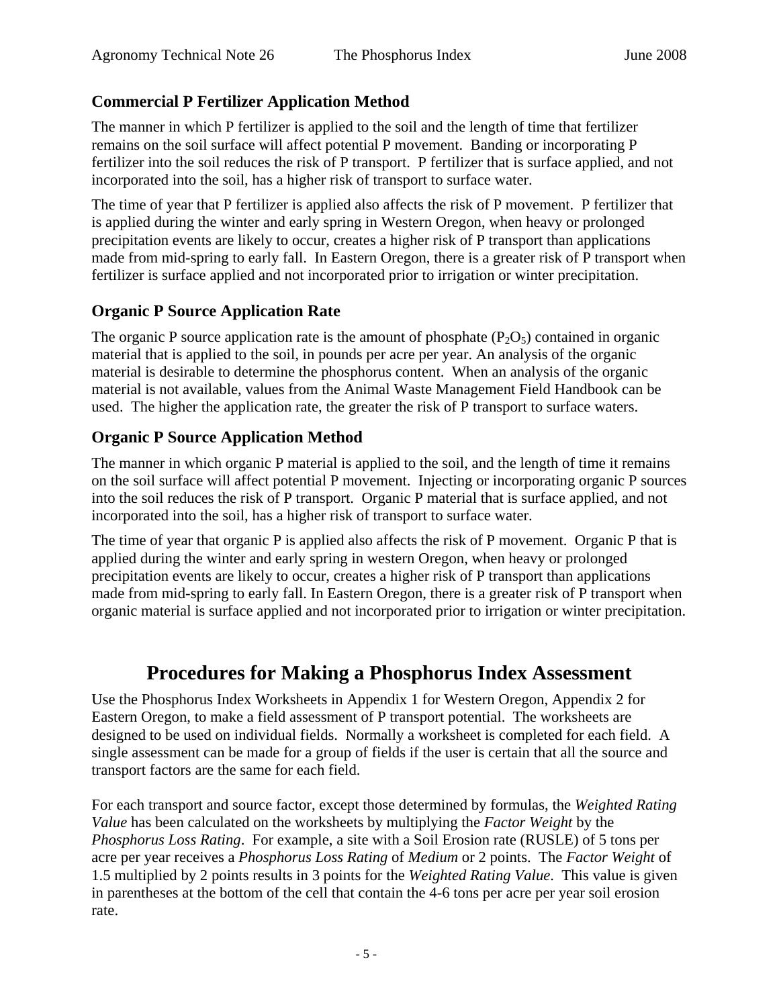# **Commercial P Fertilizer Application Method**

The manner in which P fertilizer is applied to the soil and the length of time that fertilizer remains on the soil surface will affect potential P movement. Banding or incorporating P fertilizer into the soil reduces the risk of P transport. P fertilizer that is surface applied, and not incorporated into the soil, has a higher risk of transport to surface water.

The time of year that P fertilizer is applied also affects the risk of P movement. P fertilizer that is applied during the winter and early spring in Western Oregon, when heavy or prolonged precipitation events are likely to occur, creates a higher risk of P transport than applications made from mid-spring to early fall. In Eastern Oregon, there is a greater risk of P transport when fertilizer is surface applied and not incorporated prior to irrigation or winter precipitation.

## **Organic P Source Application Rate**

The organic P source application rate is the amount of phosphate  $(P_2O_5)$  contained in organic material that is applied to the soil, in pounds per acre per year. An analysis of the organic material is desirable to determine the phosphorus content. When an analysis of the organic material is not available, values from the Animal Waste Management Field Handbook can be used. The higher the application rate, the greater the risk of P transport to surface waters.

## **Organic P Source Application Method**

The manner in which organic P material is applied to the soil, and the length of time it remains on the soil surface will affect potential P movement. Injecting or incorporating organic P sources into the soil reduces the risk of P transport. Organic P material that is surface applied, and not incorporated into the soil, has a higher risk of transport to surface water.

The time of year that organic P is applied also affects the risk of P movement. Organic P that is applied during the winter and early spring in western Oregon, when heavy or prolonged precipitation events are likely to occur, creates a higher risk of P transport than applications made from mid-spring to early fall. In Eastern Oregon, there is a greater risk of P transport when organic material is surface applied and not incorporated prior to irrigation or winter precipitation.

# **Procedures for Making a Phosphorus Index Assessment**

Use the Phosphorus Index Worksheets in Appendix 1 for Western Oregon, Appendix 2 for Eastern Oregon, to make a field assessment of P transport potential. The worksheets are designed to be used on individual fields. Normally a worksheet is completed for each field. A single assessment can be made for a group of fields if the user is certain that all the source and transport factors are the same for each field.

For each transport and source factor, except those determined by formulas, the *Weighted Rating Value* has been calculated on the worksheets by multiplying the *Factor Weight* by the *Phosphorus Loss Rating*. For example, a site with a Soil Erosion rate (RUSLE) of 5 tons per acre per year receives a *Phosphorus Loss Rating* of *Medium* or 2 points. The *Factor Weight* of 1.5 multiplied by 2 points results in 3 points for the *Weighted Rating Value*. This value is given in parentheses at the bottom of the cell that contain the 4-6 tons per acre per year soil erosion rate.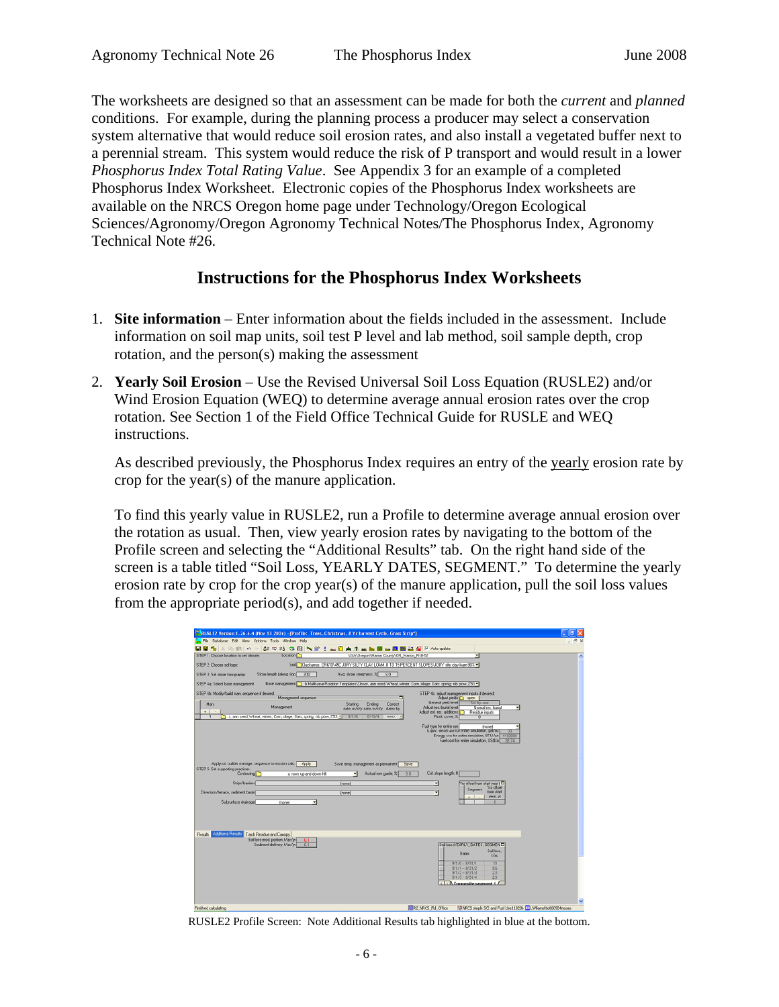The worksheets are designed so that an assessment can be made for both the *current* and *planned*  conditions. For example, during the planning process a producer may select a conservation system alternative that would reduce soil erosion rates, and also install a vegetated buffer next to a perennial stream. This system would reduce the risk of P transport and would result in a lower *Phosphorus Index Total Rating Value*. See Appendix 3 for an example of a completed Phosphorus Index Worksheet. Electronic copies of the Phosphorus Index worksheets are available on the NRCS Oregon home page under Technology/Oregon Ecological Sciences/Agronomy/Oregon Agronomy Technical Notes/The Phosphorus Index, Agronomy Technical Note #26.

#### **Instructions for the Phosphorus Index Worksheets**

- 1. **Site information** Enter information about the fields included in the assessment. Include information on soil map units, soil test P level and lab method, soil sample depth, crop rotation, and the person(s) making the assessment
- 2. **Yearly Soil Erosion**  Use the Revised Universal Soil Loss Equation (RUSLE2) and/or Wind Erosion Equation (WEQ) to determine average annual erosion rates over the crop rotation. See Section 1 of the Field Office Technical Guide for RUSLE and WEQ instructions.

As described previously, the Phosphorus Index requires an entry of the yearly erosion rate by crop for the year(s) of the manure application.

To find this yearly value in RUSLE2, run a Profile to determine average annual erosion over the rotation as usual. Then, view yearly erosion rates by navigating to the bottom of the Profile screen and selecting the "Additional Results" tab. On the right hand side of the screen is a table titled "Soil Loss, YEARLY DATES, SEGMENT." To determine the yearly erosion rate by crop for the crop year(s) of the manure application, pull the soil loss values from the appropriate period(s), and add together if needed.

|                                                                                                                                                                                                           |                                    | RUSLE2 Version 1.26.6.4 (Nov 13 2006) - [Profile: Trees, Christmas, 8 Yr harvest Cycle, Grass Strip*]                            |                                                                                                                        |                                                                                                                   |                                                                          |
|-----------------------------------------------------------------------------------------------------------------------------------------------------------------------------------------------------------|------------------------------------|----------------------------------------------------------------------------------------------------------------------------------|------------------------------------------------------------------------------------------------------------------------|-------------------------------------------------------------------------------------------------------------------|--------------------------------------------------------------------------|
| File Database Edit View Options Tools Window Help                                                                                                                                                         |                                    |                                                                                                                                  |                                                                                                                        |                                                                                                                   |                                                                          |
| BB%X的8DOBBBBDDDDDDDALAD                                                                                                                                                                                   |                                    |                                                                                                                                  | <b>P</b> Auto update                                                                                                   |                                                                                                                   |                                                                          |
| STEP 1: Choose location to set climate                                                                                                                                                                    | Location <sup>1</sup>              | USA\Dregori/Marion County\OR_Marion_R48-52                                                                                       |                                                                                                                        |                                                                                                                   | $\mathbf{A}% _{0}\left( t_{1}\right) ,\mathbf{A}_{1}\left( t_{2}\right)$ |
| STEP 2 Choose soil type:                                                                                                                                                                                  |                                    | Soll Clackamas, OR610V45CJDRY SILTY CLAY LOAM, 8 TO 15 PERCENT SLOPES VORY sity clay loam 90% =                                  |                                                                                                                        |                                                                                                                   |                                                                          |
| STEP 3 Set slope topography.                                                                                                                                                                              | Slope length (along slop   200     | Avg. slope steepness, $\overline{z}$ 8.0                                                                                         |                                                                                                                        |                                                                                                                   |                                                                          |
| STEP 4x Select base management                                                                                                                                                                            |                                    | Base management   1. b. Multi-sear Rotation Templates/Clover, ann seed: Wheat, winter: Corn. slage: Oats, spring: mb plow, 253 = |                                                                                                                        |                                                                                                                   |                                                                          |
| STEP 4b: Modily/build man. sequence if decired.                                                                                                                                                           |                                    | Ξ                                                                                                                                | STEP 4c: adjust management inputs if desired.                                                                          |                                                                                                                   |                                                                          |
| Man.<br>$\ddot{\phantom{1}}$<br>-<br>r, ann seed; Wheat, winter; Corn, silage; Dats, spring; nib plow, 253                                                                                                | Management sequence<br>Management  | Ending<br>Starting<br>Correct<br>date, m/d/y date, m/d/y dates by:<br><b>B/10/4</b><br>9/1/0<br>was).                            | Adjust pields @ open<br>General pield level<br>Adjust res. burial level<br>Adjust ext. res. additions<br>Rock cover, % | Set by user<br>Normal res. busiel<br>Residue inputs<br>т                                                          |                                                                          |
|                                                                                                                                                                                                           |                                    |                                                                                                                                  | Fuel type for entire run<br>Liquiv. desel use for entre smulation, gal/ac                                              | Inonel<br>Energy use for entire simulation, BTU/ac 4100000<br>Fuel cost for entire simulation. US\$/a1<br>R4 74   |                                                                          |
| Apply sot. builder manage, sequence to exosion calc. Apply<br>STEP 5: Set supporting practices:<br>Contouring <sup>1</sup><br>Strips/barriers<br>Diversion/terrace, sediment basin<br>Subsurface drainage | a. rows up-and-down hill<br>[none] | Save temp, management as permanent.<br>Save<br>Actual row grade, %<br>8.0<br>[none]<br><b>Inonell</b>                            | Crit. slope length, It]<br>٠<br>≂                                                                                      | Yrs offset from start year (<br>Y're offset<br>Segment<br>from start<br>year, ye<br>÷.<br>$\overline{a}$<br>n     |                                                                          |
| Results Additional Results Track Residue and Canopy<br>Soil loss ered, portion, t/ac/yr<br>Sedment delivery, t/ac/yr                                                                                      | 6.1<br>61                          |                                                                                                                                  |                                                                                                                        | Sollou (YEARLY, DATES, SEGMENT)<br>Soil loss.<br>Dates:<br>t/ac                                                   |                                                                          |
|                                                                                                                                                                                                           |                                    |                                                                                                                                  | $9/1/0 - 8/31/1$                                                                                                       | 10<br>$3/1/1 - 8/31/2$<br>36<br>$9/1/2 - 8/31/3$<br>20<br>$9/1/3 - 8/31/4$<br>28<br><1 > B Composite secondst 1 / |                                                                          |
|                                                                                                                                                                                                           |                                    |                                                                                                                                  |                                                                                                                        |                                                                                                                   |                                                                          |

RUSLE2 Profile Screen: Note Additional Results tab highlighted in blue at the bottom.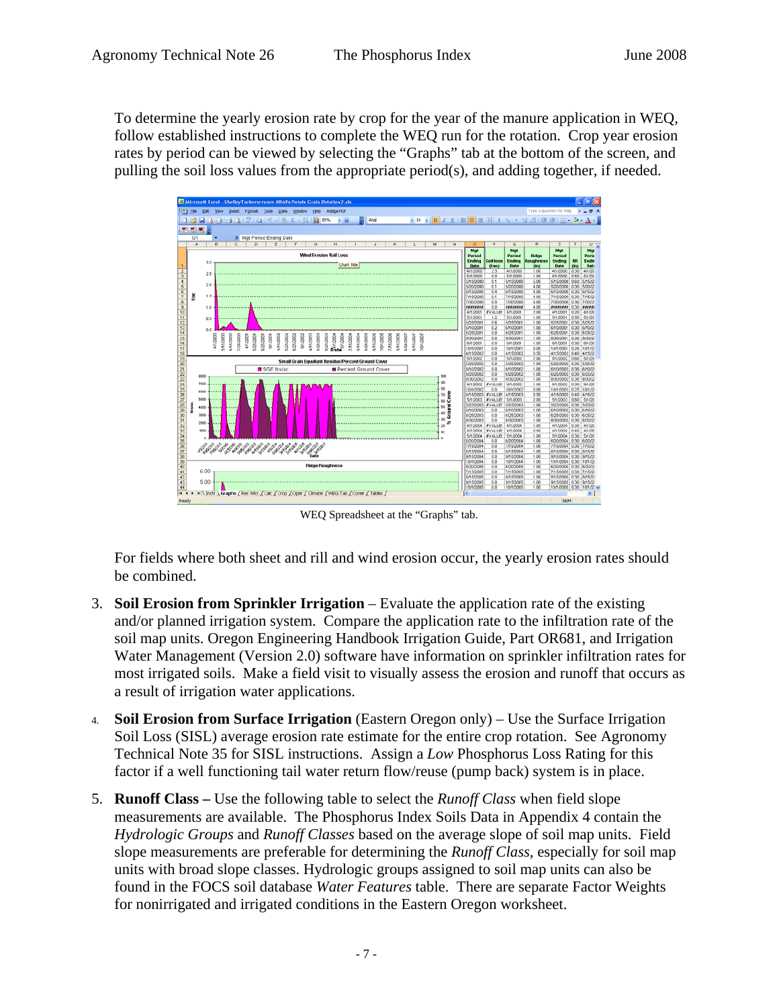To determine the yearly erosion rate by crop for the year of the manure application in WEQ, follow established instructions to complete the WEQ run for the rotation. Crop year erosion rates by period can be viewed by selecting the "Graphs" tab at the bottom of the screen, and pulling the soil loss values from the appropriate period(s), and adding together, if needed.



WEQ Spreadsheet at the "Graphs" tab.

For fields where both sheet and rill and wind erosion occur, the yearly erosion rates should be combined.

- 3. **Soil Erosion from Sprinkler Irrigation**  Evaluate the application rate of the existing and/or planned irrigation system. Compare the application rate to the infiltration rate of the soil map units. Oregon Engineering Handbook Irrigation Guide, Part OR681, and Irrigation Water Management (Version 2.0) software have information on sprinkler infiltration rates for most irrigated soils. Make a field visit to visually assess the erosion and runoff that occurs as a result of irrigation water applications.
- 4. **Soil Erosion from Surface Irrigation** (Eastern Oregon only) Use the Surface Irrigation Soil Loss (SISL) average erosion rate estimate for the entire crop rotation. See Agronomy Technical Note 35 for SISL instructions. Assign a *Low* Phosphorus Loss Rating for this factor if a well functioning tail water return flow/reuse (pump back) system is in place.
- 5. **Runoff Class** Use the following table to select the *Runoff Class* when field slope measurements are available. The Phosphorus Index Soils Data in Appendix 4 contain the *Hydrologic Groups* and *Runoff Classes* based on the average slope of soil map units. Field slope measurements are preferable for determining the *Runoff Class*, especially for soil map units with broad slope classes. Hydrologic groups assigned to soil map units can also be found in the FOCS soil database *Water Features* table. There are separate Factor Weights for nonirrigated and irrigated conditions in the Eastern Oregon worksheet.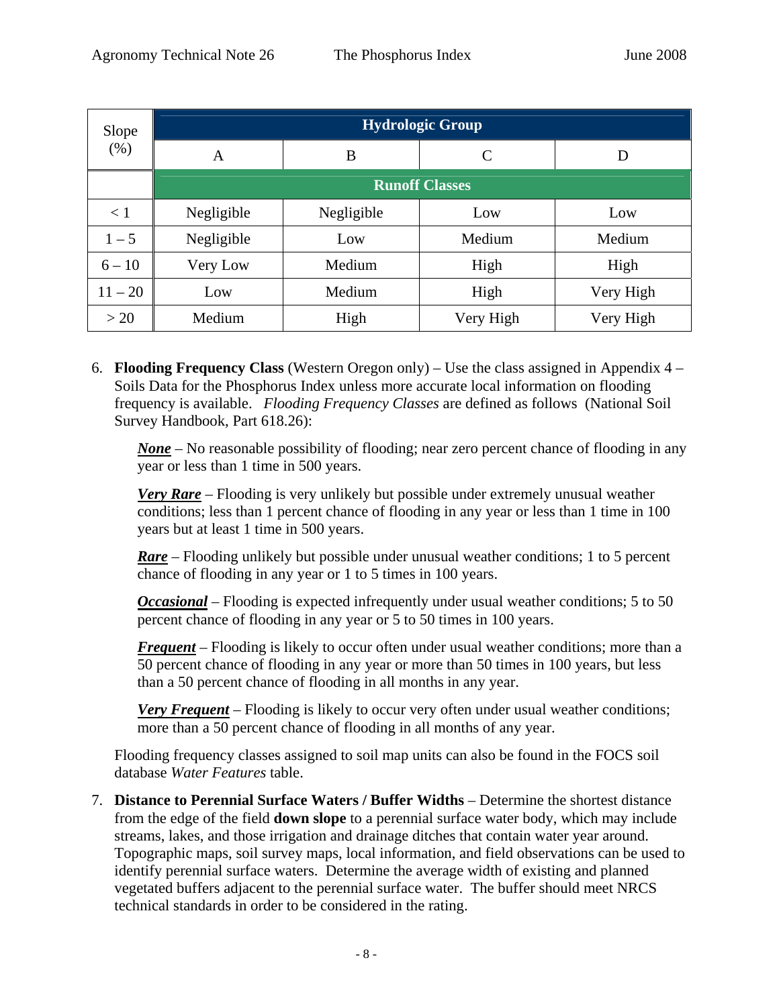| Slope<br>(% ) | <b>Hydrologic Group</b> |            |           |           |  |  |  |
|---------------|-------------------------|------------|-----------|-----------|--|--|--|
|               | A                       | B          | C         | D         |  |  |  |
|               | <b>Runoff Classes</b>   |            |           |           |  |  |  |
| $\leq 1$      | Negligible              | Negligible | Low       | Low       |  |  |  |
| $1 - 5$       | Negligible              | Low        | Medium    | Medium    |  |  |  |
| $6 - 10$      | Very Low                | Medium     | High      | High      |  |  |  |
| $11 - 20$     | Low                     | Medium     | High      | Very High |  |  |  |
| >20           | Medium                  | High       | Very High | Very High |  |  |  |

6. **Flooding Frequency Class** (Western Oregon only) – Use the class assigned in Appendix 4 – Soils Data for the Phosphorus Index unless more accurate local information on flooding frequency is available. *Flooding Frequency Classes* are defined as follows (National Soil Survey Handbook, Part 618.26):

*None* – No reasonable possibility of flooding; near zero percent chance of flooding in any year or less than 1 time in 500 years.

*Very Rare* – Flooding is very unlikely but possible under extremely unusual weather conditions; less than 1 percent chance of flooding in any year or less than 1 time in 100 years but at least 1 time in 500 years.

*Rare* – Flooding unlikely but possible under unusual weather conditions; 1 to 5 percent chance of flooding in any year or 1 to 5 times in 100 years.

*Occasional* – Flooding is expected infrequently under usual weather conditions; 5 to 50 percent chance of flooding in any year or 5 to 50 times in 100 years.

*Frequent* – Flooding is likely to occur often under usual weather conditions; more than a 50 percent chance of flooding in any year or more than 50 times in 100 years, but less than a 50 percent chance of flooding in all months in any year.

*Very Frequent* – Flooding is likely to occur very often under usual weather conditions; more than a 50 percent chance of flooding in all months of any year.

Flooding frequency classes assigned to soil map units can also be found in the FOCS soil database *Water Features* table.

7. **Distance to Perennial Surface Waters / Buffer Widths** – Determine the shortest distance from the edge of the field **down slope** to a perennial surface water body, which may include streams, lakes, and those irrigation and drainage ditches that contain water year around. Topographic maps, soil survey maps, local information, and field observations can be used to identify perennial surface waters. Determine the average width of existing and planned vegetated buffers adjacent to the perennial surface water. The buffer should meet NRCS technical standards in order to be considered in the rating.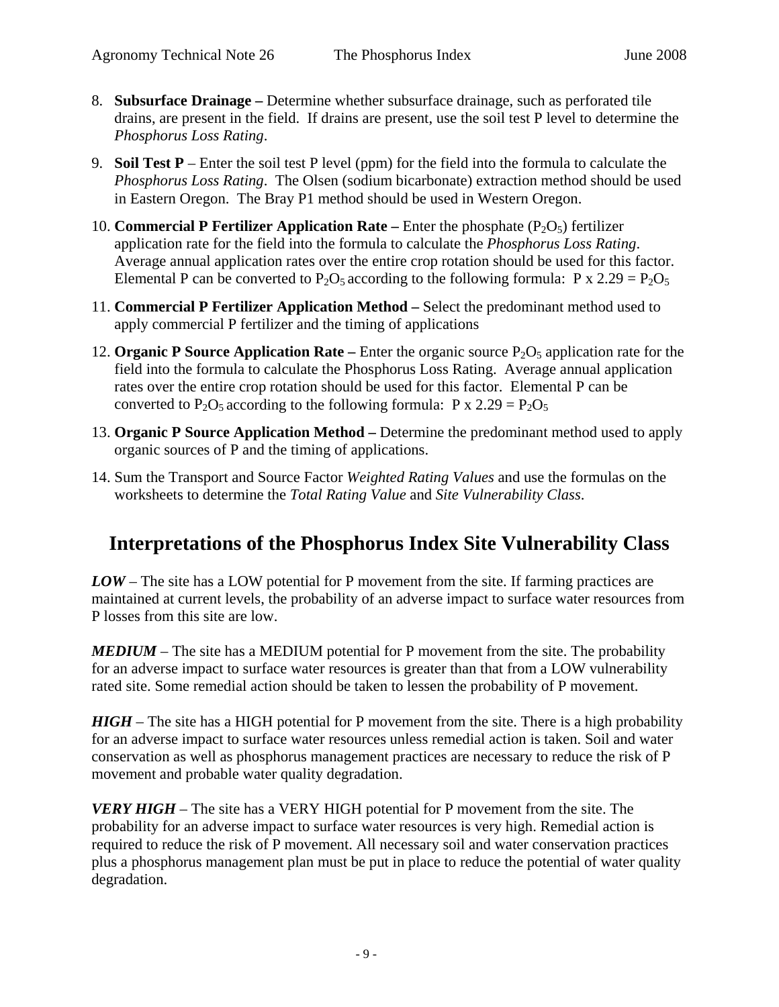- 8. **Subsurface Drainage** Determine whether subsurface drainage, such as perforated tile drains, are present in the field. If drains are present, use the soil test P level to determine the *Phosphorus Loss Rating*.
- 9. **Soil Test P** Enter the soil test P level (ppm) for the field into the formula to calculate the *Phosphorus Loss Rating*. The Olsen (sodium bicarbonate) extraction method should be used in Eastern Oregon. The Bray P1 method should be used in Western Oregon.
- 10. **Commercial P Fertilizer Application Rate** Enter the phosphate  $(P_2O_5)$  fertilizer application rate for the field into the formula to calculate the *Phosphorus Loss Rating*. Average annual application rates over the entire crop rotation should be used for this factor. Elemental P can be converted to  $P_2O_5$  according to the following formula: P x 2.29 =  $P_2O_5$
- 11. **Commercial P Fertilizer Application Method** Select the predominant method used to apply commercial P fertilizer and the timing of applications
- 12. **Organic P Source Application Rate** Enter the organic source  $P_2O_5$  application rate for the field into the formula to calculate the Phosphorus Loss Rating. Average annual application rates over the entire crop rotation should be used for this factor. Elemental P can be converted to P<sub>2</sub>O<sub>5</sub> according to the following formula: P x 2.29 = P<sub>2</sub>O<sub>5</sub>
- 13. **Organic P Source Application Method** Determine the predominant method used to apply organic sources of P and the timing of applications.
- 14. Sum the Transport and Source Factor *Weighted Rating Values* and use the formulas on the worksheets to determine the *Total Rating Value* and *Site Vulnerability Class*.

# **Interpretations of the Phosphorus Index Site Vulnerability Class**

*LOW* – The site has a LOW potential for P movement from the site. If farming practices are maintained at current levels, the probability of an adverse impact to surface water resources from P losses from this site are low.

*MEDIUM* – The site has a MEDIUM potential for P movement from the site. The probability for an adverse impact to surface water resources is greater than that from a LOW vulnerability rated site. Some remedial action should be taken to lessen the probability of P movement.

*HIGH* – The site has a HIGH potential for P movement from the site. There is a high probability for an adverse impact to surface water resources unless remedial action is taken. Soil and water conservation as well as phosphorus management practices are necessary to reduce the risk of P movement and probable water quality degradation.

*VERY HIGH* – The site has a VERY HIGH potential for P movement from the site. The probability for an adverse impact to surface water resources is very high. Remedial action is required to reduce the risk of P movement. All necessary soil and water conservation practices plus a phosphorus management plan must be put in place to reduce the potential of water quality degradation.